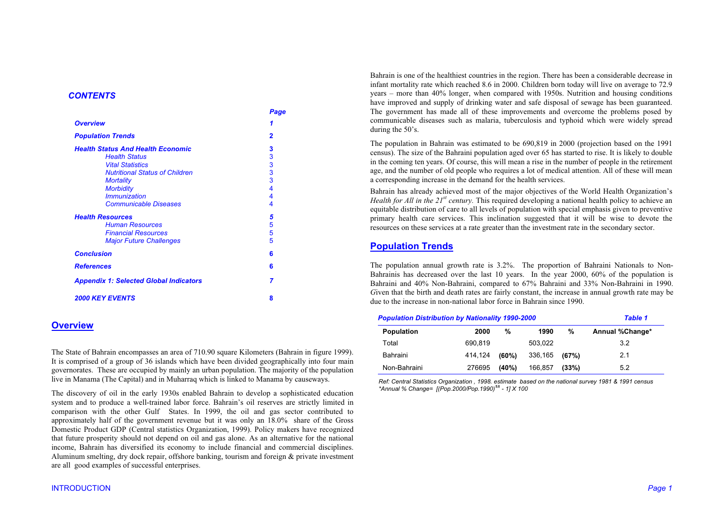#### **CONTENTS**

|                                               | Page |
|-----------------------------------------------|------|
| <b>Overview</b>                               | 1    |
| <b>Population Trends</b>                      | 2    |
| <b>Health Status And Health Economic</b>      | 3    |
| <b>Health Status</b>                          | 3    |
| <b>Vital Statistics</b>                       | 3    |
| <b>Nutritional Status of Children</b>         | 3    |
| <b>Mortality</b>                              | 3    |
| <b>Morbidity</b>                              | 4    |
| <i><b>Immunization</b></i>                    | 4    |
| <b>Communicable Diseases</b>                  | 4    |
| <b>Health Resources</b>                       | 5    |
| <b>Human Resources</b>                        | 5    |
| <b>Financial Resources</b>                    | 5    |
| <b>Major Future Challenges</b>                | 5    |
| <b>Conclusion</b>                             | 6    |
| <b>References</b>                             | 6    |
| <b>Appendix 1: Selected Global Indicators</b> | 7    |
| <b>2000 KEY EVENTS</b>                        | 8    |

# **Overview**

The State of Bahrain encompasses an area of 710.90 square Kilometers (Bahrain in figure 1999). It is comprised of a group of 36 islands which have been divided geographically into four main governorates. These are occupied by mainly an urban population. The majority of the population live in Manama (The Capital) and in Muharraq which is linked to Manama by causeways.

The discovery of oil in the early 1930s enabled Bahrain to develop a sophisticated education system and to produce a well-trained labor force. Bahrain's oil reserves are strictly limited in comparison with the other Gulf States. In 1999, the oil and gas sector contributed to approximately half of the government revenue but it was only an 18.0% share of the Gross Domestic Product GDP (Central statistics Organization, 1999). Policy makers have recognized that future prosperity should not depend on oil and gas alone. As an alternative for the national income, Bahrain has diversified its economy to include financial and commercial disciplines. Aluminum smelting, dry dock repair, offshore banking, tourism and foreign  $\&$  private investment are all good examples of successful enterprises.

Bahrain is one of the healthiest countries in the region. There has been a considerable decrease in infant mortality rate which reached 8.6 in 2000. Children born today will live on average to 72.9 years – more than  $40\%$  longer, when compared with 1950s. Nutrition and housing conditions have improved and supply of drinking water and safe disposal of sewage has been guaranteed. The government has made all of these improvements and overcome the problems posed by communicable diseases such as malaria, tuberculosis and typhoid which were widely spread during the 50's.

The population in Bahrain was estimated to be 690,819 in 2000 (projection based on the 1991 census). The size of the Bahraini population aged over 65 has started to rise. It is likely to double in the coming ten years. Of course, this will mean a rise in the number of people in the retirement age, and the number of old people who requires a lot of medical attention. All of these will mean a corresponding increase in the demand for the health services.

Bahrain has already achieved most of the major objectives of the World Health Organization's *Health for All in the 21<sup>st</sup> century*. This required developing a national health policy to achieve an equitable distribution of care to all levels of population with special emphasis given to preventive primary health care services. This inclination suggested that it will be wise to devote the resources on these services at a rate greater than the investment rate in the secondary sector.

# **Population Trends**

The population annual growth rate is 3.2%. The proportion of Bahraini Nationals to Non-Bahrainis has decreased over the last 10 years. In the year 2000,  $60\%$  of the population is Bahraini and 40% Non-Bahraini, compared to 67% Bahraini and 33% Non-Bahraini in 1990. Given that the birth and death rates are fairly constant, the increase in annual growth rate may be due to the increase in non-national labor force in Bahrain since 1990.

| <b>Population Distribution by Nationality 1990-2000</b> |         |       | Table 1 |       |                 |
|---------------------------------------------------------|---------|-------|---------|-------|-----------------|
| <b>Population</b>                                       | 2000    | %     | 1990    | %     | Annual %Change* |
| Total                                                   | 690.819 |       | 503.022 |       | 3.2             |
| Bahraini                                                | 414,124 | (60%) | 336,165 | (67%) | 2.1             |
| Non-Bahraini                                            | 276695  | (40%) | 166.857 | (33%) | 5.2             |

Ref: Central Statistics Organization, 1998. estimate based on the national survey 1981 & 1991 census \*Annual % Change= [(Pop.2000/Pop.1990)<sup>1/t</sup> - 1] X 100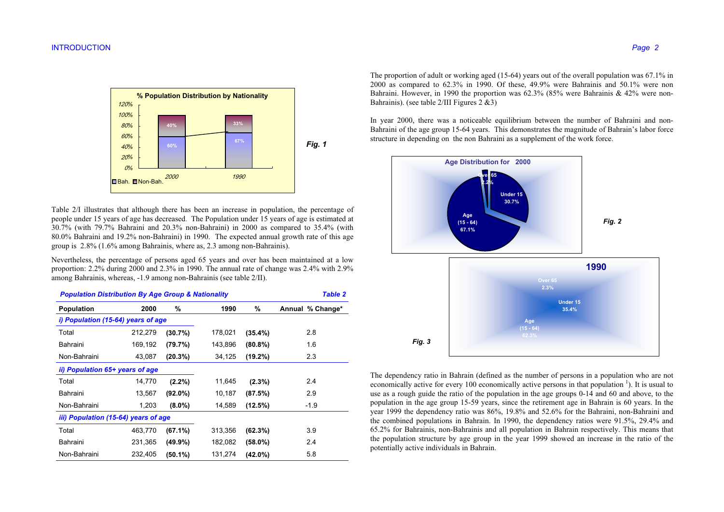

Table 2/I illustrates that although there has been an increase in population, the percentage of people under 15 years of age has decreased. The Population under 15 years of age is estimated at  $30.7\%$  (with 79.7% Bahraini and 20.3% non-Bahraini) in 2000 as compared to 35.4% (with 80.0% Bahraini and 19.2% non-Bahraini) in 1990. The expected annual growth rate of this age group is 2.8% (1.6% among Bahrainis, where as, 2.3 among non-Bahrainis).

Nevertheless, the percentage of persons aged 65 years and over has been maintained at a low proportion: 2.2% during 2000 and 2.3% in 1990. The annual rate of change was 2.4% with 2.9% among Bahrainis, whereas, -1.9 among non-Bahrainis (see table 2/II).

| <b>Population Distribution By Age Group &amp; Nationality</b> |         |            |         |            | <b>Table 2</b>   |
|---------------------------------------------------------------|---------|------------|---------|------------|------------------|
| <b>Population</b>                                             | 2000    | %          | 1990    | %          | Annual % Change* |
| i) Population (15-64) years of age                            |         |            |         |            |                  |
| Total                                                         | 212,279 | (30.7%)    | 178,021 | (35.4%)    | 2.8              |
| Bahraini                                                      | 169,192 | (79.7%)    | 143,896 | $(80.8\%)$ | 1.6              |
| Non-Bahraini                                                  | 43,087  | (20.3%)    | 34,125  | $(19.2\%)$ | 2.3              |
| ii) Population 65+ years of age                               |         |            |         |            |                  |
| Total                                                         | 14,770  | $(2.2\%)$  | 11,645  | $(2.3\%)$  | 2.4              |
| Bahraini                                                      | 13,567  | (92.0%)    | 10,187  | (87.5%)    | 2.9              |
| Non-Bahraini                                                  | 1,203   | $(8.0\%)$  | 14,589  | (12.5%)    | $-1.9$           |
| iii) Population (15-64) years of age                          |         |            |         |            |                  |
| Total                                                         | 463,770 | (67.1%)    | 313,356 | (62.3%)    | 3.9              |
| Bahraini                                                      | 231,365 | $(49.9\%)$ | 182,082 | $(58.0\%)$ | 2.4              |
| Non-Bahraini                                                  | 232,405 | (50.1%)    | 131,274 | $(42.0\%)$ | 5.8              |

The proportion of adult or working aged (15-64) years out of the overall population was  $67.1\%$  in 2000 as compared to  $62.3\%$  in 1990. Of these,  $49.9\%$  were Bahrainis and  $50.1\%$  were non Bahraini. However, in 1990 the proportion was  $62.3\%$  (85% were Bahrainis & 42% were non-Bahrainis). (see table  $2/III$  Figures  $2 \& 3$ )

In year 2000, there was a noticeable equilibrium between the number of Bahraini and non-Bahraini of the age group 15-64 years. This demonstrates the magnitude of Bahrain's labor force structure in depending on the non Bahraini as a supplement of the work force.



The dependency ratio in Bahrain (defined as the number of persons in a population who are not economically active for every 100 economically active persons in that population  $\frac{1}{1}$ . It is usual to use as a rough guide the ratio of the population in the age groups 0-14 and 60 and above, to the population in the age group 15-59 years, since the retirement age in Bahrain is 60 years. In the year 1999 the dependency ratio was 86%, 19.8% and 52.6% for the Bahraini, non-Bahraini and the combined populations in Bahrain. In 1990, the dependency ratios were 91.5%, 29.4% and 65.2% for Bahrainis, non-Bahrainis and all population in Bahrain respectively. This means that the population structure by age group in the year 1999 showed an increase in the ratio of the potentially active individuals in Bahrain.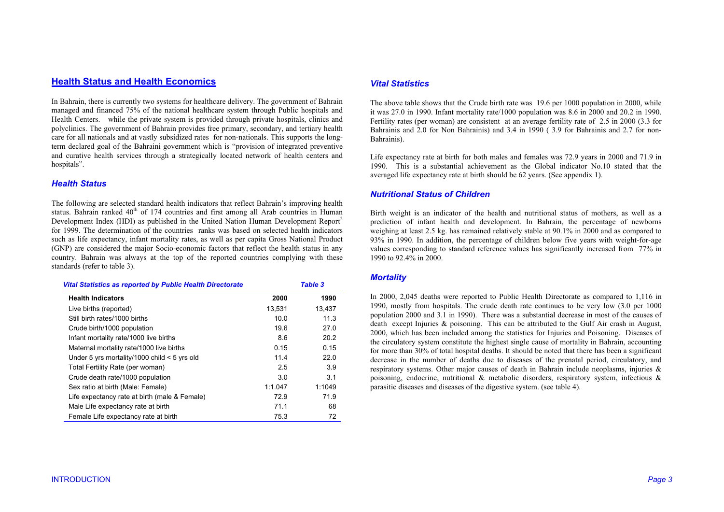## **Health Status and Health Economics**

In Bahrain, there is currently two systems for healthcare delivery. The government of Bahrain managed and financed 75% of the national healthcare system through Public hospitals and Health Centers. while the private system is provided through private hospitals, clinics and polyclinics. The government of Bahrain provides free primary, secondary, and tertiary health care for all nationals and at vastly subsidized rates for non-nationals. This supports the longterm declared goal of the Bahraini government which is "provision of integrated preventive and curative health services through a strategically located network of health centers and hospitals".

#### **Health Status**

The following are selected standard health indicators that reflect Bahrain's improving health status. Bahrain ranked 40<sup>th</sup> of 174 countries and first among all Arab countries in Human Development Index (HDI) as published in the United Nation Human Development Report<sup>2</sup> for 1999. The determination of the countries ranks was based on selected health indicators such as life expectancy, infant mortality rates, as well as per capita Gross National Product (GNP) are considered the major Socio-economic factors that reflect the health status in any country. Bahrain was always at the top of the reported countries complying with these standards (refer to table 3).

| <b>Vital Statistics as reported by Public Health Directorate</b> |         | <b>Table 3</b> |
|------------------------------------------------------------------|---------|----------------|
| <b>Health Indicators</b>                                         | 2000    | 1990           |
| Live births (reported)                                           | 13,531  | 13,437         |
| Still birth rates/1000 births                                    | 10.0    | 11.3           |
| Crude birth/1000 population                                      | 19.6    | 27.0           |
| Infant mortality rate/1000 live births                           | 8.6     | 20.2           |
| Maternal mortality rate/1000 live births                         | 0.15    | 0.15           |
| Under 5 yrs mortality/1000 child $<$ 5 yrs old                   | 11.4    | 22.0           |
| Total Fertility Rate (per woman)                                 | 2.5     | 3.9            |
| Crude death rate/1000 population                                 | 3.0     | 3.1            |
| Sex ratio at birth (Male: Female)                                | 1:1.047 | 1:1049         |
| Life expectancy rate at birth (male & Female)                    | 72.9    | 71.9           |
| Male Life expectancy rate at birth                               | 71.1    | 68             |
| Female Life expectancy rate at birth                             | 75.3    | 72             |

#### **Vital Statistics**

The above table shows that the Crude birth rate was 19.6 per 1000 population in 2000, while it was 27.0 in 1990. Infant mortality rate/1000 population was 8.6 in 2000 and 20.2 in 1990. Fertility rates (per woman) are consistent at an average fertility rate of 2.5 in 2000 (3.3 for Bahrainis and 2.0 for Non Bahrainis) and 3.4 in 1990 (3.9 for Bahrainis and 2.7 for non-Bahrainis).

Life expectancy rate at birth for both males and females was 72.9 years in 2000 and 71.9 in 1990. This is a substantial achievement as the Global indicator No.10 stated that the averaged life expectancy rate at birth should be 62 years. (See appendix 1).

### **Nutritional Status of Children**

Birth weight is an indicator of the health and nutritional status of mothers, as well as a prediction of infant health and development. In Bahrain, the percentage of newborns weighing at least 2.5 kg. has remained relatively stable at 90.1% in 2000 and as compared to 93% in 1990. In addition, the percentage of children below five years with weight-for-age values corresponding to standard reference values has significantly increased from 77% in 1990 to 92.4% in 2000

#### **Mortality**

In 2000, 2,045 deaths were reported to Public Health Directorate as compared to 1,116 in 1990, mostly from hospitals. The crude death rate continues to be very low (3.0 per 1000 population 2000 and 3.1 in 1990). There was a substantial decrease in most of the causes of death except Injuries & poisoning. This can be attributed to the Gulf Air crash in August, 2000, which has been included among the statistics for Injuries and Poisoning. Diseases of the circulatory system constitute the highest single cause of mortality in Bahrain, accounting for more than 30% of total hospital deaths. It should be noted that there has been a significant decrease in the number of deaths due to diseases of the prenatal period, circulatory, and respiratory systems. Other major causes of death in Bahrain include neoplasms, injuries  $\&$ poisoning, endocrine, nutritional & metabolic disorders, respiratory system, infectious & parasitic diseases and diseases of the digestive system. (see table 4).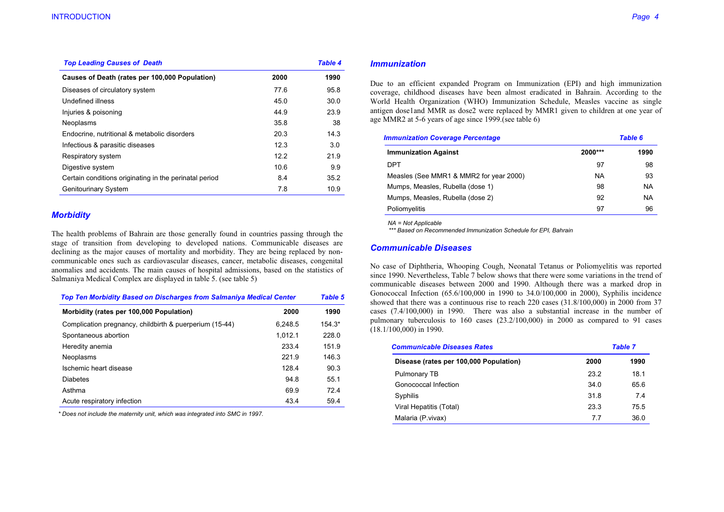| <b>Top Leading Causes of Death</b>                     |      | <b>Table 4</b> |
|--------------------------------------------------------|------|----------------|
| Causes of Death (rates per 100,000 Population)         | 2000 | 1990           |
| Diseases of circulatory system                         | 77.6 | 95.8           |
| Undefined illness                                      | 45.0 | 30.0           |
| Injuries & poisoning                                   | 44.9 | 23.9           |
| Neoplasms                                              | 35.8 | 38             |
| Endocrine, nutritional & metabolic disorders           | 20.3 | 14.3           |
| Infectious & parasitic diseases                        | 12.3 | 3.0            |
| Respiratory system                                     | 12.2 | 21.9           |
| Digestive system                                       | 10.6 | 9.9            |
| Certain conditions originating in the perinatal period | 8.4  | 35.2           |
| <b>Genitourinary System</b>                            | 7.8  | 10.9           |

#### **Morbidity**

The health problems of Bahrain are those generally found in countries passing through the stage of transition from developing to developed nations. Communicable diseases are declining as the major causes of mortality and morbidity. They are being replaced by noncommunicable ones such as cardiovascular diseases, cancer, metabolic diseases, congenital anomalies and accidents. The main causes of hospital admissions, based on the statistics of Salmaniya Medical Complex are displayed in table 5. (see table 5)

| <b>Top Ten Morbidity Based on Discharges from Salmaniya Medical Center</b> |         | Table 5  |
|----------------------------------------------------------------------------|---------|----------|
| Morbidity (rates per 100,000 Population)                                   | 2000    | 1990     |
| Complication pregnancy, childbirth & puerperium (15-44)                    | 6.248.5 | $154.3*$ |
| Spontaneous abortion                                                       | 1.012.1 | 228.0    |
| Heredity anemia                                                            | 233.4   | 151.9    |
| Neoplasms                                                                  | 221.9   | 146.3    |
| Ischemic heart disease                                                     | 128.4   | 90.3     |
| <b>Diabetes</b>                                                            | 94.8    | 55.1     |
| Asthma                                                                     | 69.9    | 72.4     |
| Acute respiratory infection                                                | 43.4    | 59.4     |

\* Does not include the maternity unit, which was integrated into SMC in 1997.

#### **Immunization**

Due to an efficient expanded Program on Immunization (EPI) and high immunization coverage, childhood diseases have been almost eradicated in Bahrain. According to the World Health Organization (WHO) Immunization Schedule, Measles vaccine as single antigen doseland MMR as dose2 were replaced by MMR1 given to children at one year of age MMR2 at 5-6 years of age since 1999. (see table 6)

| <b>Immunization Coverage Percentage</b> |           | <b>Table 6</b> |  |
|-----------------------------------------|-----------|----------------|--|
| <b>Immunization Against</b>             | $2000***$ | 1990           |  |
| DPT                                     | 97        | 98             |  |
| Measles (See MMR1 & MMR2 for year 2000) | <b>NA</b> | 93             |  |
| Mumps, Measles, Rubella (dose 1)        | 98        | NA             |  |
| Mumps, Measles, Rubella (dose 2)        | 92        | NA             |  |
| Poliomyelitis                           | 97        | 96             |  |

 $NA = Not Apollo$ 

\*\*\* Based on Recommended Immunization Schedule for EPI, Bahrain

#### **Communicable Diseases**

No case of Diphtheria, Whooping Cough, Neonatal Tetanus or Poliomyelitis was reported since 1990. Nevertheless, Table 7 below shows that there were some variations in the trend of communicable diseases between 2000 and 1990. Although there was a marked drop in Gonococcal Infection (65.6/100,000 in 1990 to 34.0/100,000 in 2000), Syphilis incidence showed that there was a continuous rise to reach 220 cases  $(31.8/100,000)$  in 2000 from 37 cases (7.4/100,000) in 1990. There was also a substantial increase in the number of pulmonary tuberculosis to  $160$  cases  $(23.2/100,000)$  in  $2000$  as compared to 91 cases  $(18.1/100,000)$  in 1990.

| <b>Communicable Diseases Rates</b>     |      | Table 7 |  |
|----------------------------------------|------|---------|--|
| Disease (rates per 100,000 Population) | 2000 | 1990    |  |
| Pulmonary TB                           | 23.2 | 18.1    |  |
| Gonococcal Infection                   | 34.0 | 65.6    |  |
| Syphilis                               | 31.8 | 7.4     |  |
| Viral Hepatitis (Total)                | 23.3 | 75.5    |  |
| Malaria (P.vivax)                      | 7.7  | 36.0    |  |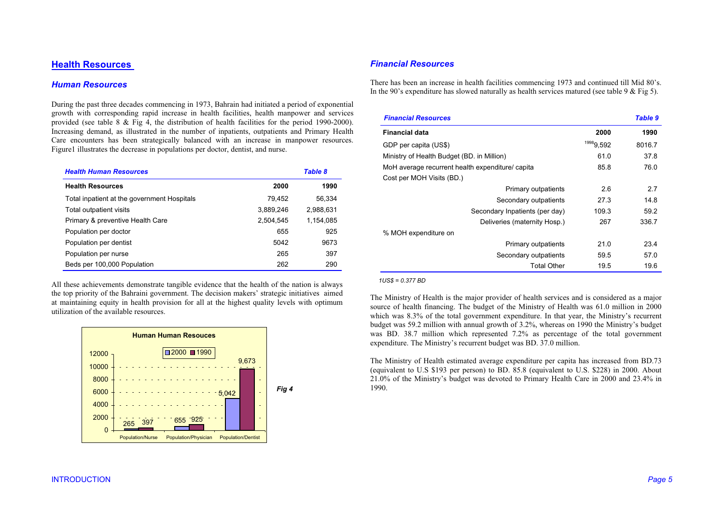# **Health Resources**

#### **Human Resources**

During the past three decades commencing in 1973, Bahrain had initiated a period of exponential growth with corresponding rapid increase in health facilities, health manpower and services provided (see table  $8 \&$  Fig 4, the distribution of health facilities for the period 1990-2000). Increasing demand, as illustrated in the number of inpatients, outpatients and Primary Health Care encounters has been strategically balanced with an increase in manpower resources. Figure 1 illustrates the decrease in populations per doctor, dentist, and nurse.

| <b>Health Human Resources</b>               |           | <b>Table 8</b> |
|---------------------------------------------|-----------|----------------|
| <b>Health Resources</b>                     | 2000      | 1990           |
| Total inpatient at the government Hospitals | 79.452    | 56.334         |
| Total outpatient visits                     | 3,889,246 | 2,988,631      |
| Primary & preventive Health Care            | 2.504.545 | 1,154,085      |
| Population per doctor                       | 655       | 925            |
| Population per dentist                      | 5042      | 9673           |
| Population per nurse                        | 265       | 397            |
| Beds per 100,000 Population                 | 262       | 290            |

All these achievements demonstrate tangible evidence that the health of the nation is always the top priority of the Bahraini government. The decision makers' strategic initiatives aimed at maintaining equity in health provision for all at the highest quality levels with optimum utilization of the available resources



## **Financial Resources**

There has been an increase in health facilities commencing 1973 and continued till Mid 80's. In the 90's expenditure has slowed naturally as health services matured (see table 9 & Fig 5).

| <b>Financial Resources</b>                       |           | Table 9 |
|--------------------------------------------------|-----------|---------|
| <b>Financial data</b>                            | 2000      | 1990    |
| GDP per capita (US\$)                            | 19989,592 | 8016.7  |
| Ministry of Health Budget (BD. in Million)       | 61.0      | 37.8    |
| MoH average recurrent health expenditure/ capita | 85.8      | 76.0    |
| Cost per MOH Visits (BD.)                        |           |         |
| Primary outpatients                              | 2.6       | 2.7     |
| Secondary outpatients                            | 27.3      | 14.8    |
| Secondary Inpatients (per day)                   | 109.3     | 59.2    |
| Deliveries (maternity Hosp.)                     | 267       | 336.7   |
| % MOH expenditure on                             |           |         |
| Primary outpatients                              | 21.0      | 23.4    |
| Secondary outpatients                            | 59.5      | 57.0    |
| <b>Total Other</b>                               | 19.5      | 19.6    |

 $1US$ = 0.377 BD$ 

The Ministry of Health is the major provider of health services and is considered as a major source of health financing. The budget of the Ministry of Health was 61.0 million in 2000 which was 8.3% of the total government expenditure. In that year, the Ministry's recurrent budget was 59.2 million with annual growth of 3.2%, whereas on 1990 the Ministry's budget was BD. 38.7 million which represented 7.2% as percentage of the total government expenditure. The Ministry's recurrent budget was BD. 37.0 million.

The Ministry of Health estimated average expenditure per capita has increased from BD.73 (equivalent to U.S \$193 per person) to BD. 85.8 (equivalent to U.S. \$228) in 2000. About 21.0% of the Ministry's budget was devoted to Primary Health Care in 2000 and 23.4% in 1990.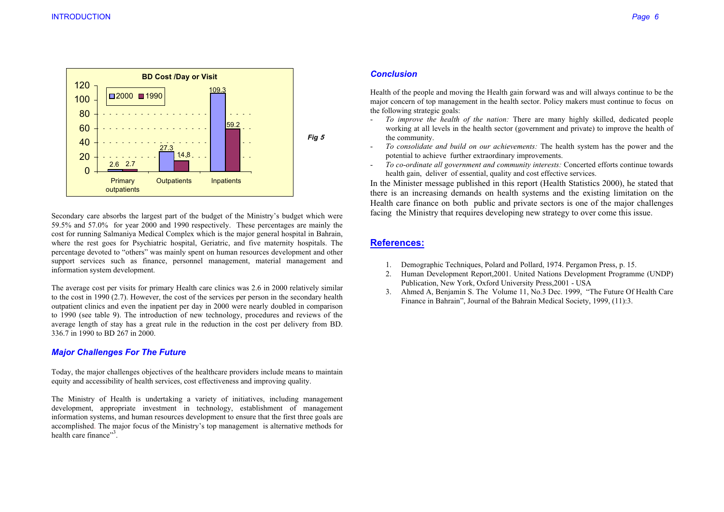

Secondary care absorbs the largest part of the budget of the Ministry's budget which were 59.5% and 57.0% for year 2000 and 1990 respectively. These percentages are mainly the cost for running Salmaniya Medical Complex which is the major general hospital in Bahrain, where the rest goes for Psychiatric hospital, Geriatric, and five maternity hospitals. The percentage devoted to "others" was mainly spent on human resources development and other support services such as finance, personnel management, material management and information system development.

The average cost per visits for primary Health care clinics was 2.6 in 2000 relatively similar to the cost in 1990  $(2.7)$ . However, the cost of the services per person in the secondary health outpatient clinics and even the inpatient per day in 2000 were nearly doubled in comparison to 1990 (see table 9). The introduction of new technology, procedures and reviews of the average length of stay has a great rule in the reduction in the cost per delivery from BD. 336.7 in 1990 to BD 267 in 2000.

## **Major Challenges For The Future**

Today, the major challenges objectives of the healthcare providers include means to maintain equity and accessibility of health services, cost effectiveness and improving quality.

The Ministry of Health is undertaking a variety of initiatives, including management development, appropriate investment in technology, establishment of management information systems, and human resources development to ensure that the first three goals are accomplished. The major focus of the Ministry's top management is alternative methods for health care finance"<sup>3</sup>.

## **Conclusion**

Health of the people and moving the Health gain forward was and will always continue to be the major concern of top management in the health sector. Policy makers must continue to focus on the following strategic goals:

- To improve the health of the nation: There are many highly skilled, dedicated people  $\mathcal{L}^{\text{max}}$ working at all levels in the health sector (government and private) to improve the health of the community.
- To consolidate and build on our achievements: The health system has the power and the  $\mathbb{L}$ potential to achieve further extraordinary improvements.
- To co-ordinate all government and community interests: Concerted efforts continue towards  $\mathbb{L}$ health gain, deliver of essential, quality and cost effective services.

In the Minister message published in this report (Health Statistics 2000), he stated that there is an increasing demands on health systems and the existing limitation on the Health care finance on both public and private sectors is one of the major challenges facing the Ministry that requires developing new strategy to over come this issue.

# **References:**

- 1. Demographic Techniques, Polard and Pollard, 1974. Pergamon Press, p. 15.
- 2. Human Development Report, 2001. United Nations Development Programme (UNDP) Publication. New York. Oxford University Press, 2001 - USA
- $3.$ Ahmed A, Benjamin S. The Volume 11, No.3 Dec. 1999, "The Future Of Health Care Finance in Bahrain", Journal of the Bahrain Medical Society, 1999, (11):3.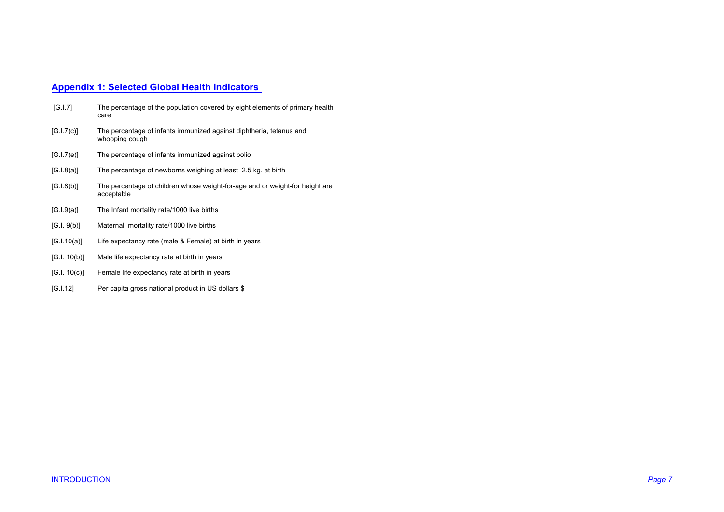# **Appendix 1: Selected Global Health Indicators**

| [G.1.7]      | The percentage of the population covered by eight elements of primary health<br>care       |
|--------------|--------------------------------------------------------------------------------------------|
| [G.I.7(c)]   | The percentage of infants immunized against diphtheria, tetanus and<br>whooping cough      |
| [G.I.7(e)]   | The percentage of infants immunized against polio                                          |
| [G.I.8(a)]   | The percentage of newborns weighing at least 2.5 kg. at birth                              |
| [G.I.8(b)]   | The percentage of children whose weight-for-age and or weight-for height are<br>acceptable |
| [G.I.9(a)]   | The Infant mortality rate/1000 live births                                                 |
| [G.1.9(b)]   | Maternal mortality rate/1000 live births                                                   |
| [G.1.10(a)]  | Life expectancy rate (male & Female) at birth in years                                     |
| [G.1. 10(b)] | Male life expectancy rate at birth in years                                                |
| [G.I. 10(c)] | Female life expectancy rate at birth in years                                              |
| [G.I.12]     | Per capita gross national product in US dollars \$                                         |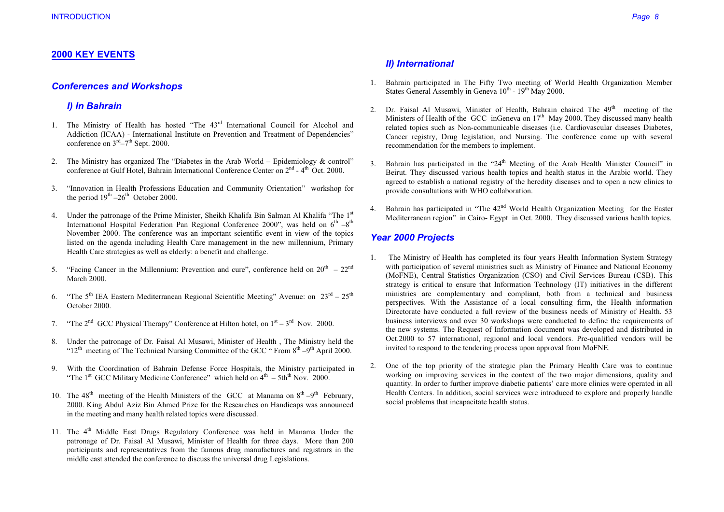# **2000 KEY EVENTS**

## **Conferences and Workshops**

## I) In Bahrain

- 1. The Ministry of Health has hosted "The 43<sup>rd</sup> International Council for Alcohol and Addiction (ICAA) - International Institute on Prevention and Treatment of Dependencies" conference on  $3<sup>rd</sup>-7<sup>th</sup>$  Sept. 2000.
- 2. The Ministry has organized The "Diabetes in the Arab World Epidemiology & control" conference at Gulf Hotel. Bahrain International Conference Center on  $2<sup>nd</sup> - 4<sup>th</sup>$  Oct. 2000.
- "Innovation in Health Professions Education and Community Orientation" workshop for  $3.$ the period  $19^{th} - 26^{th}$  October 2000.
- 4. Under the patronage of the Prime Minister, Sheikh Khalifa Bin Salman Al Khalifa "The 1st International Hospital Federation Pan Regional Conference 2000", was held on  $6^{th} - 8^{th}$ November 2000. The conference was an important scientific event in view of the topics listed on the agenda including Health Care management in the new millennium, Primary Health Care strategies as well as elderly: a benefit and challenge.
- 5. "Facing Cancer in the Millennium: Prevention and cure", conference held on  $20^{th} 22^{nd}$ **March 2000.**
- "The  $5^{th}$  IEA Eastern Mediterranean Regional Scientific Meeting" Avenue: on  $23^{rd} 25^{th}$  $6<sub>1</sub>$ October 2000.
- "The  $2^{nd}$  GCC Physical Therapy" Conference at Hilton hotel, on  $1^{st} 3^{rd}$  Nov. 2000.  $7.$
- Under the patronage of Dr. Faisal Al Musawi, Minister of Health, The Ministry held the 8. " $12^{\text{th}}$  meeting of The Technical Nursing Committee of the GCC "From  $8^{\text{th}} - 9^{\text{th}}$  April 2000.
- With the Coordination of Bahrain Defense Force Hospitals, the Ministry participated in 9. "The 1<sup>st</sup> GCC Military Medicine Conference" which held on  $4<sup>th</sup> - 5th<sup>th</sup>$  Nov. 2000
- 10. The 48<sup>th</sup> meeting of the Health Ministers of the GCC at Manama on  $8^{th} 9^{th}$  February, 2000. King Abdul Aziz Bin Ahmed Prize for the Researches on Handicaps was announced in the meeting and many health related topics were discussed.
- 11. The 4<sup>th</sup> Middle East Drugs Regulatory Conference was held in Manama Under the patronage of Dr. Faisal Al Musawi, Minister of Health for three days. More than 200 participants and representatives from the famous drug manufactures and registrars in the middle east attended the conference to discuss the universal drug Legislations.

# **II)** International

- 1. Bahrain participated in The Fifty Two meeting of World Health Organization Member States General Assembly in Geneva 10<sup>th</sup> - 19<sup>th</sup> May 2000.
- 2. Dr. Faisal Al Musawi, Minister of Health, Bahrain chaired The 49<sup>th</sup> meeting of the Ministers of Health of the GCC inGeneva on  $17<sup>th</sup>$  May 2000. They discussed many health related topics such as Non-communicable diseases (i.e. Cardiovascular diseases Diabetes, Cancer registry, Drug legislation, and Nursing. The conference came up with several recommendation for the members to implement.
- Bahrain has participated in the "24<sup>th</sup> Meeting of the Arab Health Minister Council" in  $\mathcal{E}$ Beirut. They discussed various health topics and health status in the Arabic world. They agreed to establish a national registry of the heredity diseases and to open a new clinics to provide consultations with WHO collaboration.
- 4. Bahrain has participated in "The 42<sup>nd</sup> World Health Organization Meeting for the Easter Mediterranean region" in Cairo- Egypt in Oct. 2000. They discussed various health topics.

# **Year 2000 Projects**

- The Ministry of Health has completed its four years Health Information System Strategy  $\mathbf{1}$ with participation of several ministries such as Ministry of Finance and National Economy (MoFNE), Central Statistics Organization (CSO) and Civil Services Bureau (CSB). This strategy is critical to ensure that Information Technology (IT) initiatives in the different ministries are complementary and compliant, both from a technical and business perspectives. With the Assistance of a local consulting firm, the Health information Directorate have conducted a full review of the business needs of Ministry of Health. 53 business interviews and over 30 workshops were conducted to define the requirements of the new systems. The Request of Information document was developed and distributed in Oct.2000 to 57 international, regional and local vendors. Pre-qualified vendors will be invited to respond to the tendering process upon approval from MoFNE.
- One of the top priority of the strategic plan the Primary Health Care was to continue 2. working on improving services in the context of the two major dimensions, quality and quantity. In order to further improve diabetic patients' care more clinics were operated in all Health Centers. In addition, social services were introduced to explore and properly handle social problems that incapacitate health status.